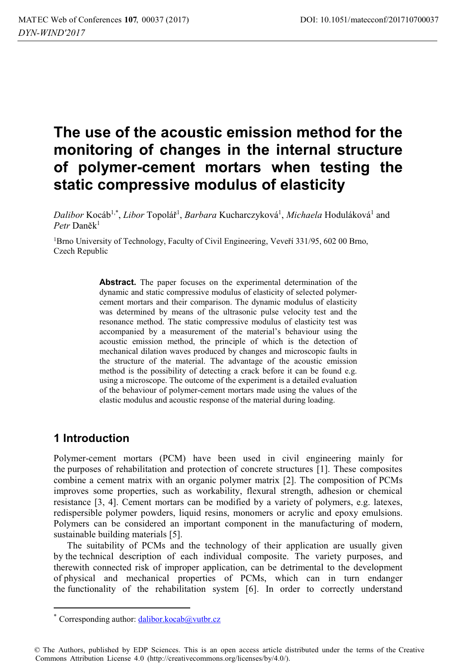# **The use of the acoustic emission method for the monitoring of changes in the internal structure of polymer-cement mortars when testing the static compressive modulus of elasticity**

 $Dalibor\ Kocáb^{1,*},\ Libor\ Topolář^1,\ *Barbara\ Kucharczyková^1,\ Michaela\ Hoduláková^1*$  and Petr Daněk<sup>1</sup>

1Brno University of Technology, Faculty of Civil Engineering, Veveří 331/95, 602 00 Brno, Czech Republic

> **Abstract.** The paper focuses on the experimental determination of the dynamic and static compressive modulus of elasticity of selected polymercement mortars and their comparison. The dynamic modulus of elasticity was determined by means of the ultrasonic pulse velocity test and the resonance method. The static compressive modulus of elasticity test was accompanied by a measurement of the material's behaviour using the acoustic emission method, the principle of which is the detection of mechanical dilation waves produced by changes and microscopic faults in the structure of the material. The advantage of the acoustic emission method is the possibility of detecting a crack before it can be found e.g. using a microscope. The outcome of the experiment is a detailed evaluation of the behaviour of polymer-cement mortars made using the values of the elastic modulus and acoustic response of the material during loading.

### **1 Introduction**

 $\overline{a}$ 

Polymer-cement mortars (PCM) have been used in civil engineering mainly for the purposes of rehabilitation and protection of concrete structures [1]. These composites combine a cement matrix with an organic polymer matrix [2]. The composition of PCMs improves some properties, such as workability, flexural strength, adhesion or chemical resistance [3, 4]. Cement mortars can be modified by a variety of polymers, e.g. latexes, redispersible polymer powders, liquid resins, monomers or acrylic and epoxy emulsions. Polymers can be considered an important component in the manufacturing of modern, sustainable building materials [5].

The suitability of PCMs and the technology of their application are usually given by the technical description of each individual composite. The variety purposes, and therewith connected risk of improper application, can be detrimental to the development of physical and mechanical properties of PCMs, which can in turn endanger the functionality of the rehabilitation system [6]. In order to correctly understand

<sup>\*</sup> Corresponding author: dalibor.kocab@vutbr.cz

<sup>©</sup> The Authors, published by EDP Sciences. This is an open access article distributed under the terms of the Creative Commons Attribution License 4.0 (http://creativecommons.org/licenses/by/4.0/).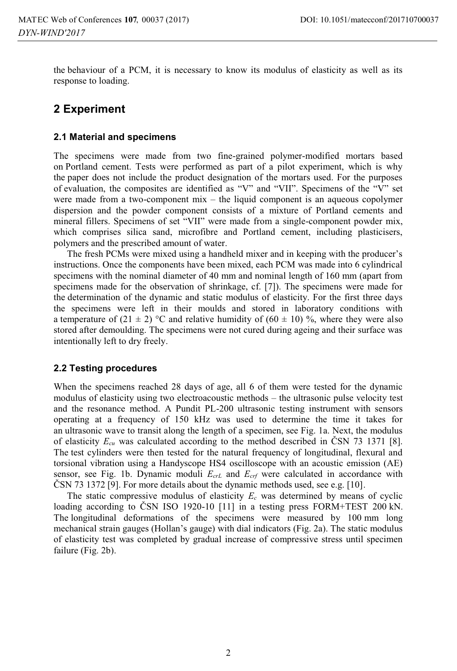the behaviour of a PCM, it is necessary to know its modulus of elasticity as well as its response to loading.

## **2 Experiment**

#### **2.1 Material and specimens**

The specimens were made from two fine-grained polymer-modified mortars based on Portland cement. Tests were performed as part of a pilot experiment, which is why the paper does not include the product designation of the mortars used. For the purposes of evaluation, the composites are identified as "V" and "VII". Specimens of the "V" set were made from a two-component mix – the liquid component is an aqueous copolymer dispersion and the powder component consists of a mixture of Portland cements and mineral fillers. Specimens of set "VII" were made from a single-component powder mix, which comprises silica sand, microfibre and Portland cement, including plasticisers, polymers and the prescribed amount of water.

The fresh PCMs were mixed using a handheld mixer and in keeping with the producer's instructions. Once the components have been mixed, each PCM was made into 6 cylindrical specimens with the nominal diameter of 40 mm and nominal length of 160 mm (apart from specimens made for the observation of shrinkage, cf. [7]). The specimens were made for the determination of the dynamic and static modulus of elasticity. For the first three days the specimens were left in their moulds and stored in laboratory conditions with a temperature of  $(21 \pm 2)$  °C and relative humidity of  $(60 \pm 10)$  %, where they were also stored after demoulding. The specimens were not cured during ageing and their surface was intentionally left to dry freely.

### **2.2 Testing procedures**

When the specimens reached 28 days of age, all 6 of them were tested for the dynamic modulus of elasticity using two electroacoustic methods – the ultrasonic pulse velocity test and the resonance method. A Pundit PL-200 ultrasonic testing instrument with sensors operating at a frequency of 150 kHz was used to determine the time it takes for an ultrasonic wave to transit along the length of a specimen, see Fig. 1a. Next, the modulus of elasticity  $E_{cu}$  was calculated according to the method described in ČSN 73 1371 [8]. The test cylinders were then tested for the natural frequency of longitudinal, flexural and torsional vibration using a Handyscope HS4 oscilloscope with an acoustic emission (AE) sensor, see Fig. 1b. Dynamic moduli  $E_{crL}$  and  $E_{crf}$  were calculated in accordance with ČSN 73 1372 [9]. For more details about the dynamic methods used, see e.g. [10].

The static compressive modulus of elasticity  $E_c$  was determined by means of cyclic loading according to ČSN ISO 1920-10 [11] in a testing press FORM+TEST 200 kN. The longitudinal deformations of the specimens were measured by 100 mm long mechanical strain gauges (Hollan's gauge) with dial indicators (Fig. 2a). The static modulus of elasticity test was completed by gradual increase of compressive stress until specimen failure (Fig. 2b).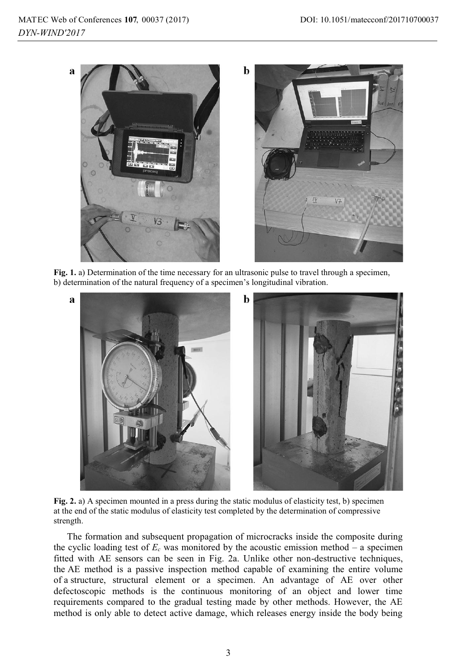

**Fig. 1.** a) Determination of the time necessary for an ultrasonic pulse to travel through a specimen, b) determination of the natural frequency of a specimen's longitudinal vibration.



**Fig. 2.** a) A specimen mounted in a press during the static modulus of elasticity test, b) specimen at the end of the static modulus of elasticity test completed by the determination of compressive strength.

The formation and subsequent propagation of microcracks inside the composite during the cyclic loading test of  $E_c$  was monitored by the acoustic emission method – a specimen fitted with AE sensors can be seen in Fig. 2a. Unlike other non-destructive techniques, the AE method is a passive inspection method capable of examining the entire volume of a structure, structural element or a specimen. An advantage of AE over other defectoscopic methods is the continuous monitoring of an object and lower time requirements compared to the gradual testing made by other methods. However, the AE method is only able to detect active damage, which releases energy inside the body being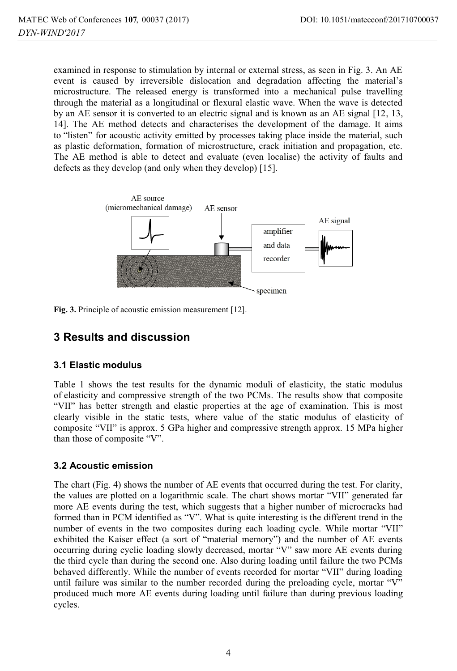examined in response to stimulation by internal or external stress, as seen in Fig. 3. An AE event is caused by irreversible dislocation and degradation affecting the material's microstructure. The released energy is transformed into a mechanical pulse travelling through the material as a longitudinal or flexural elastic wave. When the wave is detected by an AE sensor it is converted to an electric signal and is known as an AE signal [12, 13, 14]. The AE method detects and characterises the development of the damage. It aims to "listen" for acoustic activity emitted by processes taking place inside the material, such as plastic deformation, formation of microstructure, crack initiation and propagation, etc. The AE method is able to detect and evaluate (even localise) the activity of faults and defects as they develop (and only when they develop) [15].



**Fig. 3.** Principle of acoustic emission measurement [12].

# **3 Results and discussion**

### **3.1 Elastic modulus**

Table 1 shows the test results for the dynamic moduli of elasticity, the static modulus of elasticity and compressive strength of the two PCMs. The results show that composite "VII" has better strength and elastic properties at the age of examination. This is most clearly visible in the static tests, where value of the static modulus of elasticity of composite "VII" is approx. 5 GPa higher and compressive strength approx. 15 MPa higher than those of composite "V".

### **3.2 Acoustic emission**

The chart (Fig. 4) shows the number of AE events that occurred during the test. For clarity, the values are plotted on a logarithmic scale. The chart shows mortar "VII" generated far more AE events during the test, which suggests that a higher number of microcracks had formed than in PCM identified as "V". What is quite interesting is the different trend in the number of events in the two composites during each loading cycle. While mortar "VII" exhibited the Kaiser effect (a sort of "material memory") and the number of AE events occurring during cyclic loading slowly decreased, mortar "V" saw more AE events during the third cycle than during the second one. Also during loading until failure the two PCMs behaved differently. While the number of events recorded for mortar "VII" during loading until failure was similar to the number recorded during the preloading cycle, mortar "V" produced much more AE events during loading until failure than during previous loading cycles.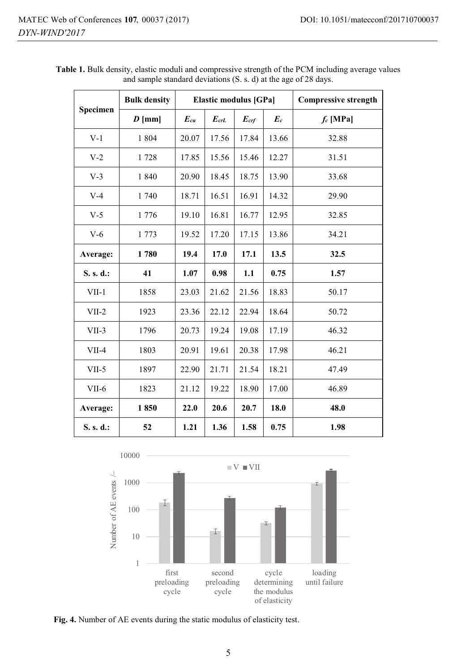| Specimen  | <b>Bulk density</b> | Elastic modulus [GPa] |           |           |       | <b>Compressive strength</b> |
|-----------|---------------------|-----------------------|-----------|-----------|-------|-----------------------------|
|           | $D$ [mm]            | $E_{cu}$              | $E_{crL}$ | $E_{crf}$ | $E_c$ | $f_c$ [MPa]                 |
| $V-1$     | 1 804               | 20.07                 | 17.56     | 17.84     | 13.66 | 32.88                       |
| $V-2$     | 1728                | 17.85                 | 15.56     | 15.46     | 12.27 | 31.51                       |
| $V-3$     | 1840                | 20.90                 | 18.45     | 18.75     | 13.90 | 33.68                       |
| $V-4$     | 1 740               | 18.71                 | 16.51     | 16.91     | 14.32 | 29.90                       |
| $V-5$     | 1776                | 19.10                 | 16.81     | 16.77     | 12.95 | 32.85                       |
| $V-6$     | 1 773               | 19.52                 | 17.20     | 17.15     | 13.86 | 34.21                       |
| Average:  | 1780                | 19.4                  | 17.0      | 17.1      | 13.5  | 32.5                        |
| S. s. d.: | 41                  | 1.07                  | 0.98      | 1.1       | 0.75  | 1.57                        |
| $VII-1$   | 1858                | 23.03                 | 21.62     | 21.56     | 18.83 | 50.17                       |
| $VII-2$   | 1923                | 23.36                 | 22.12     | 22.94     | 18.64 | 50.72                       |
| $VII-3$   | 1796                | 20.73                 | 19.24     | 19.08     | 17.19 | 46.32                       |
| $VII-4$   | 1803                | 20.91                 | 19.61     | 20.38     | 17.98 | 46.21                       |
| $VII-5$   | 1897                | 22.90                 | 21.71     | 21.54     | 18.21 | 47.49                       |
| VII-6     | 1823                | 21.12                 | 19.22     | 18.90     | 17.00 | 46.89                       |
| Average:  | 1850                | 22.0                  | 20.6      | 20.7      | 18.0  | 48.0                        |
| S. s. d.: | 52                  | 1.21                  | 1.36      | 1.58      | 0.75  | 1.98                        |

**Table 1.** Bulk density, elastic moduli and compressive strength of the PCM including average values and sample standard deviations (S. s. d) at the age of 28 days.



**Fig. 4.** Number of AE events during the static modulus of elasticity test.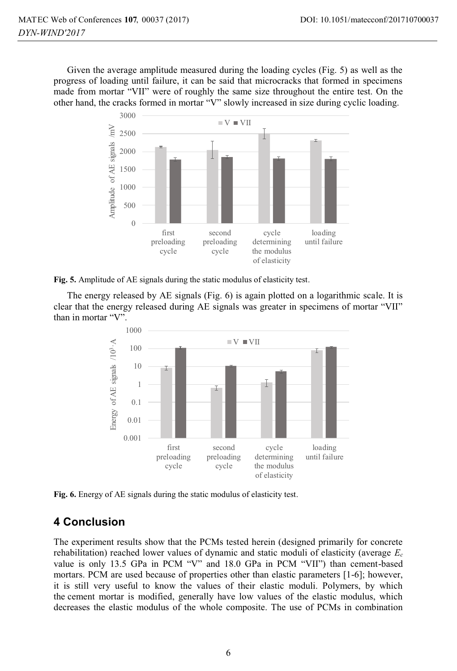Given the average amplitude measured during the loading cycles (Fig. 5) as well as the progress of loading until failure, it can be said that microcracks that formed in specimens made from mortar "VII" were of roughly the same size throughout the entire test. On the other hand, the cracks formed in mortar "V" slowly increased in size during cyclic loading.



**Fig. 5.** Amplitude of AE signals during the static modulus of elasticity test.

The energy released by AE signals (Fig. 6) is again plotted on a logarithmic scale. It is clear that the energy released during AE signals was greater in specimens of mortar "VII" than in mortar "V".



**Fig. 6.** Energy of AE signals during the static modulus of elasticity test.

# **4 Conclusion**

The experiment results show that the PCMs tested herein (designed primarily for concrete rehabilitation) reached lower values of dynamic and static moduli of elasticity (average *Ec* value is only 13.5 GPa in PCM "V" and 18.0 GPa in PCM "VII") than cement-based mortars. PCM are used because of properties other than elastic parameters [1-6]; however, it is still very useful to know the values of their elastic moduli. Polymers, by which the cement mortar is modified, generally have low values of the elastic modulus, which decreases the elastic modulus of the whole composite. The use of PCMs in combination